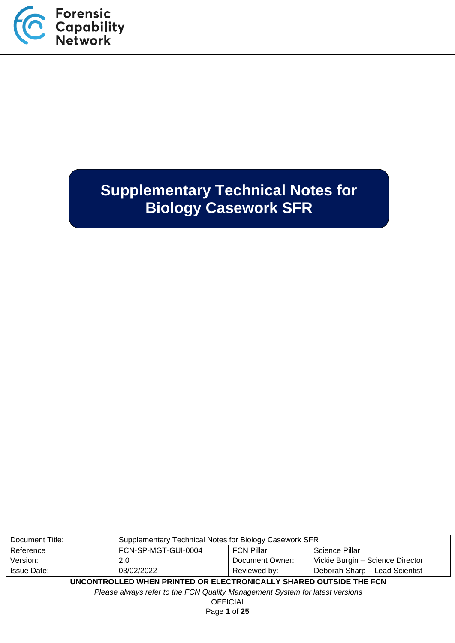

# **Supplementary Technical Notes for Biology Casework SFR**

| Document Title: | Supplementary Technical Notes for Biology Casework SFR     |                 |                                  |
|-----------------|------------------------------------------------------------|-----------------|----------------------------------|
| Reference       | FCN-SP-MGT-GUI-0004<br><b>FCN Pillar</b><br>Science Pillar |                 |                                  |
| Version:        | 2.0                                                        | Document Owner: | Vickie Burgin – Science Director |
| Issue Date:     | 03/02/2022                                                 | Reviewed by:    | Deborah Sharp - Lead Scientist   |

**UNCONTROLLED WHEN PRINTED OR ELECTRONICALLY SHARED OUTSIDE THE FCN**

*Please always refer to the FCN Quality Management System for latest versions*

**OFFICIAL** Page **1** of **25**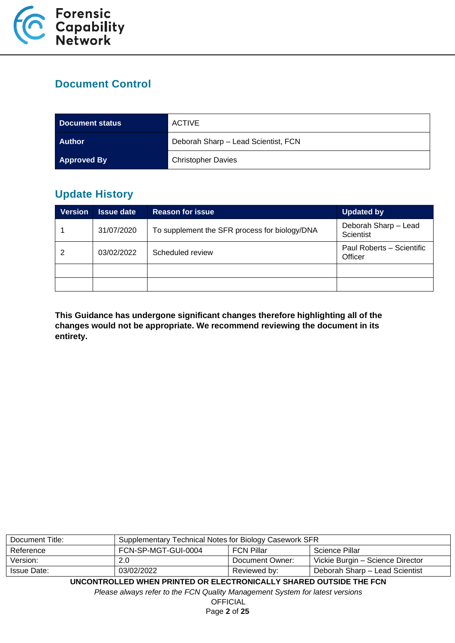

## **Document Control**

| Document status    | <b>ACTIVE</b>                       |
|--------------------|-------------------------------------|
| <b>Author</b>      | Deborah Sharp - Lead Scientist, FCN |
| <b>Approved By</b> | <b>Christopher Davies</b>           |

## **Update History**

| <b>Version</b> | <b>Issue date</b> | <b>Reason for issue</b>                       | <b>Updated by</b>                    |
|----------------|-------------------|-----------------------------------------------|--------------------------------------|
|                | 31/07/2020        | To supplement the SFR process for biology/DNA | Deborah Sharp - Lead<br>Scientist    |
| 2              | 03/02/2022        | Scheduled review                              | Paul Roberts - Scientific<br>Officer |
|                |                   |                                               |                                      |
|                |                   |                                               |                                      |

**This Guidance has undergone significant changes therefore highlighting all of the changes would not be appropriate. We recommend reviewing the document in its entirety.**

| Document Title: | Supplementary Technical Notes for Biology Casework SFR |                 |                                  |
|-----------------|--------------------------------------------------------|-----------------|----------------------------------|
| Reference       | FCN-SP-MGT-GUI-0004<br>FCN Pillar<br>Science Pillar    |                 |                                  |
| Version:        | 2.0                                                    | Document Owner: | Vickie Burgin – Science Director |
| Issue Date:     | 03/02/2022                                             | Reviewed by:    | Deborah Sharp - Lead Scientist   |

**UNCONTROLLED WHEN PRINTED OR ELECTRONICALLY SHARED OUTSIDE THE FCN**

*Please always refer to the FCN Quality Management System for latest versions*

**OFFICIAL** Page **2** of **25**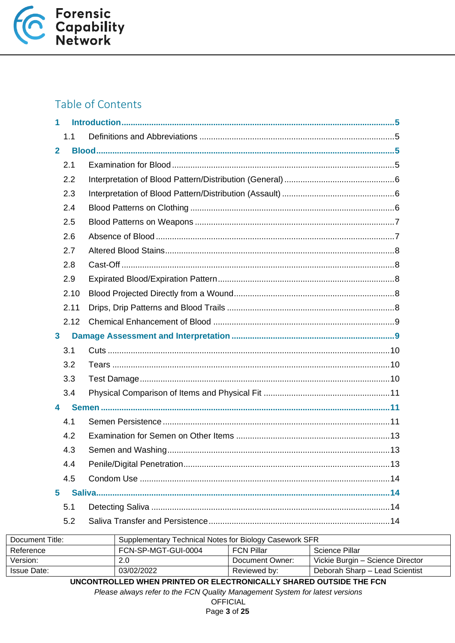

## Table of Contents

| 1              |      |  |
|----------------|------|--|
|                | 1.1  |  |
| $\overline{2}$ |      |  |
|                | 2.1  |  |
|                | 2.2  |  |
|                | 2.3  |  |
|                | 2.4  |  |
|                | 2.5  |  |
|                | 2.6  |  |
|                | 2.7  |  |
|                | 2.8  |  |
|                | 2.9  |  |
|                | 2.10 |  |
|                | 2.11 |  |
|                | 2.12 |  |
| $\mathbf{3}$   |      |  |
|                | 3.1  |  |
|                | 3.2  |  |
|                | 3.3  |  |
|                | 3.4  |  |
| 4              |      |  |
|                | 4.1  |  |
|                | 4.2  |  |
|                | 4.3  |  |
|                | 4.4  |  |
|                | 4.5  |  |
| 5              |      |  |
|                | 5.1  |  |
|                | 5.2  |  |

| Document Title: | Supplementary Technical Notes for Biology Casework SFR       |                 |                                  |  |
|-----------------|--------------------------------------------------------------|-----------------|----------------------------------|--|
| Reference       | FCN-SP-MGT-GUI-0004<br><b>FCN Pillar</b><br>Science Pillar   |                 |                                  |  |
| Version:        | 2.0                                                          | Document Owner: | Vickie Burgin – Science Director |  |
| Issue Date:     | 03/02/2022<br>Deborah Sharp – Lead Scientist<br>Reviewed by: |                 |                                  |  |
|                 |                                                              |                 |                                  |  |

UNCONTROLLED WHEN PRINTED OR ELECTRONICALLY SHARED OUTSIDE THE FCN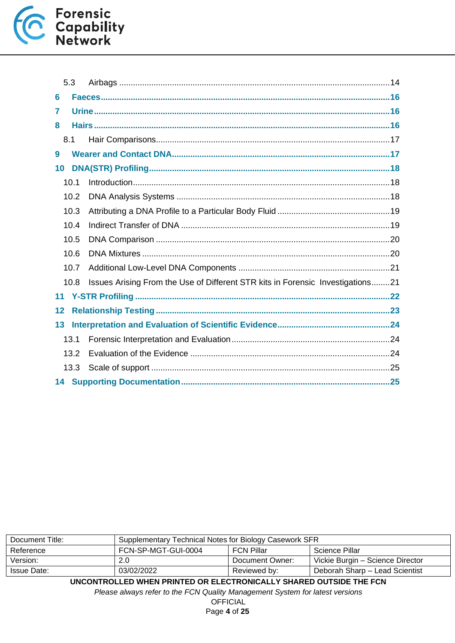

|    | 5.3  |                                                                                |  |  |
|----|------|--------------------------------------------------------------------------------|--|--|
| 6  |      |                                                                                |  |  |
| 7  |      |                                                                                |  |  |
| 8  |      |                                                                                |  |  |
|    | 8.1  |                                                                                |  |  |
| 9  |      |                                                                                |  |  |
| 10 |      |                                                                                |  |  |
|    | 10.1 |                                                                                |  |  |
|    | 10.2 |                                                                                |  |  |
|    | 10.3 |                                                                                |  |  |
|    | 10.4 |                                                                                |  |  |
|    | 10.5 |                                                                                |  |  |
|    | 10.6 |                                                                                |  |  |
|    | 10.7 |                                                                                |  |  |
|    | 10.8 | Issues Arising From the Use of Different STR kits in Forensic Investigations21 |  |  |
| 11 |      |                                                                                |  |  |
| 12 |      |                                                                                |  |  |
| 13 |      |                                                                                |  |  |
|    | 13.1 |                                                                                |  |  |
|    | 13.2 |                                                                                |  |  |
|    | 13.3 |                                                                                |  |  |
|    |      |                                                                                |  |  |

| Document Title:                                                             | Supplementary Technical Notes for Biology Casework SFR     |                 |                                  |  |  |
|-----------------------------------------------------------------------------|------------------------------------------------------------|-----------------|----------------------------------|--|--|
| Reference                                                                   | FCN-SP-MGT-GUI-0004<br><b>FCN Pillar</b><br>Science Pillar |                 |                                  |  |  |
| Version:                                                                    | 2.0                                                        | Document Owner: | Vickie Burgin – Science Director |  |  |
| 03/02/2022<br>Deborah Sharp - Lead Scientist<br>Issue Date:<br>Reviewed by: |                                                            |                 |                                  |  |  |
|                                                                             |                                                            |                 |                                  |  |  |

**UNCONTROLLED WHEN PRINTED OR ELECTRONICALLY SHARED OUTSIDE THE FCN**

*Please always refer to the FCN Quality Management System for latest versions*

**OFFICIAL** Page **4** of **25**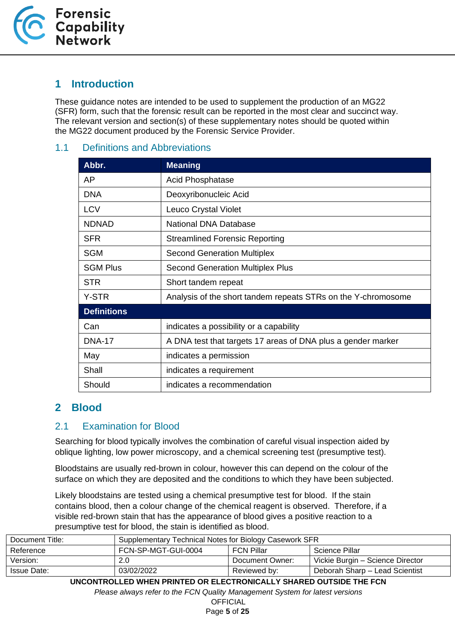

## <span id="page-4-0"></span>**1 Introduction**

These guidance notes are intended to be used to supplement the production of an MG22 (SFR) form, such that the forensic result can be reported in the most clear and succinct way. The relevant version and section(s) of these supplementary notes should be quoted within the MG22 document produced by the Forensic Service Provider.

#### <span id="page-4-1"></span>1.1 Definitions and Abbreviations

| Abbr.              | <b>Meaning</b>                                                |
|--------------------|---------------------------------------------------------------|
| AP                 | <b>Acid Phosphatase</b>                                       |
| <b>DNA</b>         | Deoxyribonucleic Acid                                         |
| <b>LCV</b>         | Leuco Crystal Violet                                          |
| <b>NDNAD</b>       | <b>National DNA Database</b>                                  |
| <b>SFR</b>         | <b>Streamlined Forensic Reporting</b>                         |
| <b>SGM</b>         | <b>Second Generation Multiplex</b>                            |
| <b>SGM Plus</b>    | <b>Second Generation Multiplex Plus</b>                       |
| <b>STR</b>         | Short tandem repeat                                           |
| Y-STR              | Analysis of the short tandem repeats STRs on the Y-chromosome |
| <b>Definitions</b> |                                                               |
| Can                | indicates a possibility or a capability                       |
| <b>DNA-17</b>      | A DNA test that targets 17 areas of DNA plus a gender marker  |
| May                | indicates a permission                                        |
| Shall              | indicates a requirement                                       |
| Should             | indicates a recommendation                                    |

## <span id="page-4-2"></span>**2 Blood**

#### <span id="page-4-3"></span>2.1 Examination for Blood

Searching for blood typically involves the combination of careful visual inspection aided by oblique lighting, low power microscopy, and a chemical screening test (presumptive test).

Bloodstains are usually red-brown in colour, however this can depend on the colour of the surface on which they are deposited and the conditions to which they have been subjected.

Likely bloodstains are tested using a chemical presumptive test for blood. If the stain contains blood, then a colour change of the chemical reagent is observed. Therefore, if a visible red-brown stain that has the appearance of blood gives a positive reaction to a presumptive test for blood, the stain is identified as blood.

| Supplementary Technical Notes for Biology Casework SFR |  |                                                      |
|--------------------------------------------------------|--|------------------------------------------------------|
| FCN-SP-MGT-GUI-0004                                    |  | Science Pillar                                       |
| 2.0                                                    |  | Vickie Burgin – Science Director                     |
| 03/02/2022                                             |  | Deborah Sharp - Lead Scientist                       |
|                                                        |  | <b>FCN Pillar</b><br>Document Owner:<br>Reviewed by: |

**UNCONTROLLED WHEN PRINTED OR ELECTRONICALLY SHARED OUTSIDE THE FCN**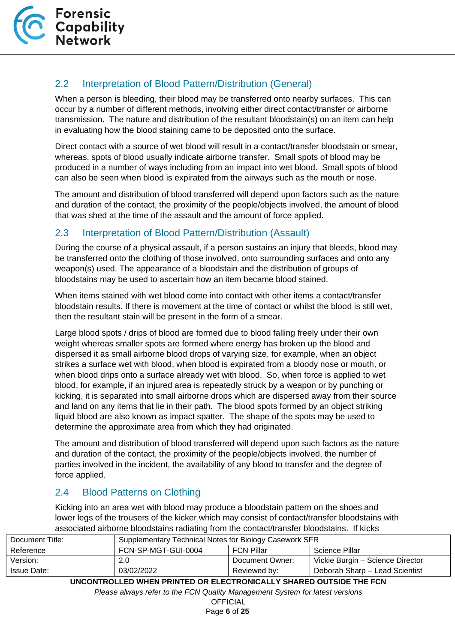

## <span id="page-5-0"></span>2.2 Interpretation of Blood Pattern/Distribution (General)

When a person is bleeding, their blood may be transferred onto nearby surfaces. This can occur by a number of different methods, involving either direct contact/transfer or airborne transmission. The nature and distribution of the resultant bloodstain(s) on an item can help in evaluating how the blood staining came to be deposited onto the surface.

Direct contact with a source of wet blood will result in a contact/transfer bloodstain or smear, whereas, spots of blood usually indicate airborne transfer. Small spots of blood may be produced in a number of ways including from an impact into wet blood. Small spots of blood can also be seen when blood is expirated from the airways such as the mouth or nose.

The amount and distribution of blood transferred will depend upon factors such as the nature and duration of the contact, the proximity of the people/objects involved, the amount of blood that was shed at the time of the assault and the amount of force applied.

## <span id="page-5-1"></span>2.3 Interpretation of Blood Pattern/Distribution (Assault)

During the course of a physical assault, if a person sustains an injury that bleeds, blood may be transferred onto the clothing of those involved, onto surrounding surfaces and onto any weapon(s) used. The appearance of a bloodstain and the distribution of groups of bloodstains may be used to ascertain how an item became blood stained.

When items stained with wet blood come into contact with other items a contact/transfer bloodstain results. If there is movement at the time of contact or whilst the blood is still wet, then the resultant stain will be present in the form of a smear.

Large blood spots / drips of blood are formed due to blood falling freely under their own weight whereas smaller spots are formed where energy has broken up the blood and dispersed it as small airborne blood drops of varying size, for example, when an object strikes a surface wet with blood, when blood is expirated from a bloody nose or mouth, or when blood drips onto a surface already wet with blood. So, when force is applied to wet blood, for example, if an injured area is repeatedly struck by a weapon or by punching or kicking, it is separated into small airborne drops which are dispersed away from their source and land on any items that lie in their path. The blood spots formed by an object striking liquid blood are also known as impact spatter. The shape of the spots may be used to determine the approximate area from which they had originated.

The amount and distribution of blood transferred will depend upon such factors as the nature and duration of the contact, the proximity of the people/objects involved, the number of parties involved in the incident, the availability of any blood to transfer and the degree of force applied.

## <span id="page-5-2"></span>2.4 Blood Patterns on Clothing

Kicking into an area wet with blood may produce a bloodstain pattern on the shoes and lower legs of the trousers of the kicker which may consist of contact/transfer bloodstains with associated airborne bloodstains radiating from the contact/transfer bloodstains. If kicks

| Document Title:    | Supplementary Technical Notes for Biology Casework SFR |                   |                                  |
|--------------------|--------------------------------------------------------|-------------------|----------------------------------|
| Reference          | FCN-SP-MGT-GUI-0004                                    | <b>FCN Pillar</b> | Science Pillar                   |
| Version:           | 2.0                                                    | Document Owner:   | Vickie Burgin - Science Director |
| <b>Issue Date:</b> | 03/02/2022                                             | Reviewed by:      | Deborah Sharp - Lead Scientist   |

**UNCONTROLLED WHEN PRINTED OR ELECTRONICALLY SHARED OUTSIDE THE FCN**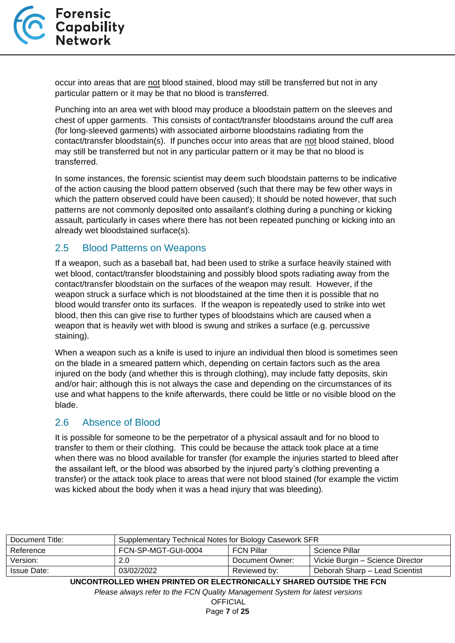

occur into areas that are not blood stained, blood may still be transferred but not in any particular pattern or it may be that no blood is transferred.

Punching into an area wet with blood may produce a bloodstain pattern on the sleeves and chest of upper garments. This consists of contact/transfer bloodstains around the cuff area (for long-sleeved garments) with associated airborne bloodstains radiating from the contact/transfer bloodstain(s). If punches occur into areas that are not blood stained, blood may still be transferred but not in any particular pattern or it may be that no blood is transferred.

In some instances, the forensic scientist may deem such bloodstain patterns to be indicative of the action causing the blood pattern observed (such that there may be few other ways in which the pattern observed could have been caused); It should be noted however, that such patterns are not commonly deposited onto assailant's clothing during a punching or kicking assault, particularly in cases where there has not been repeated punching or kicking into an already wet bloodstained surface(s).

#### <span id="page-6-0"></span>2.5 Blood Patterns on Weapons

If a weapon, such as a baseball bat, had been used to strike a surface heavily stained with wet blood, contact/transfer bloodstaining and possibly blood spots radiating away from the contact/transfer bloodstain on the surfaces of the weapon may result. However, if the weapon struck a surface which is not bloodstained at the time then it is possible that no blood would transfer onto its surfaces. If the weapon is repeatedly used to strike into wet blood, then this can give rise to further types of bloodstains which are caused when a weapon that is heavily wet with blood is swung and strikes a surface (e.g. percussive staining).

When a weapon such as a knife is used to injure an individual then blood is sometimes seen on the blade in a smeared pattern which, depending on certain factors such as the area injured on the body (and whether this is through clothing), may include fatty deposits, skin and/or hair; although this is not always the case and depending on the circumstances of its use and what happens to the knife afterwards, there could be little or no visible blood on the blade.

#### <span id="page-6-1"></span>2.6 Absence of Blood

It is possible for someone to be the perpetrator of a physical assault and for no blood to transfer to them or their clothing. This could be because the attack took place at a time when there was no blood available for transfer (for example the injuries started to bleed after the assailant left, or the blood was absorbed by the injured party's clothing preventing a transfer) or the attack took place to areas that were not blood stained (for example the victim was kicked about the body when it was a head injury that was bleeding).

| Document Title: | Supplementary Technical Notes for Biology Casework SFR |                   |                                  |
|-----------------|--------------------------------------------------------|-------------------|----------------------------------|
| Reference       | FCN-SP-MGT-GUI-0004                                    | <b>FCN Pillar</b> | Science Pillar                   |
| Version:        | 2.0                                                    | Document Owner:   | Vickie Burgin - Science Director |
| Issue Date:     | 03/02/2022                                             | Reviewed by:      | Deborah Sharp – Lead Scientist   |

**UNCONTROLLED WHEN PRINTED OR ELECTRONICALLY SHARED OUTSIDE THE FCN**

*Please always refer to the FCN Quality Management System for latest versions*

**OFFICIAL** Page **7** of **25**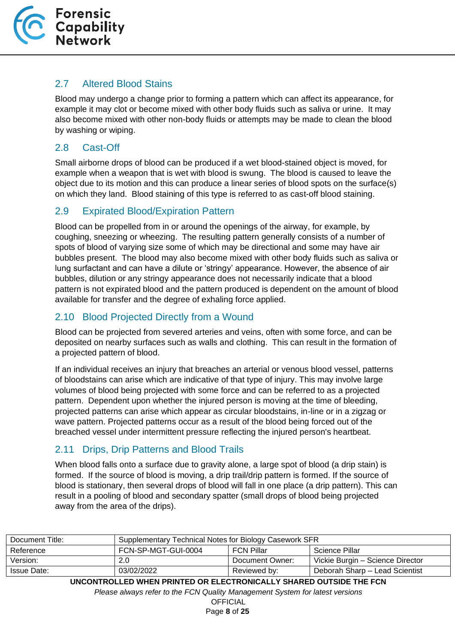

#### <span id="page-7-0"></span>2.7 Altered Blood Stains

Blood may undergo a change prior to forming a pattern which can affect its appearance, for example it may clot or become mixed with other body fluids such as saliva or urine. It may also become mixed with other non-body fluids or attempts may be made to clean the blood by washing or wiping.

### <span id="page-7-1"></span>2.8 Cast-Off

Small airborne drops of blood can be produced if a wet blood-stained object is moved, for example when a weapon that is wet with blood is swung. The blood is caused to leave the object due to its motion and this can produce a linear series of blood spots on the surface(s) on which they land. Blood staining of this type is referred to as cast-off blood staining.

### <span id="page-7-2"></span>2.9 Expirated Blood/Expiration Pattern

Blood can be propelled from in or around the openings of the airway, for example, by coughing, sneezing or wheezing. The resulting pattern generally consists of a number of spots of blood of varying size some of which may be directional and some may have air bubbles present. The blood may also become mixed with other body fluids such as saliva or lung surfactant and can have a dilute or 'stringy' appearance. However, the absence of air bubbles, dilution or any stringy appearance does not necessarily indicate that a blood pattern is not expirated blood and the pattern produced is dependent on the amount of blood available for transfer and the degree of exhaling force applied.

### <span id="page-7-3"></span>2.10 Blood Projected Directly from a Wound

Blood can be projected from severed arteries and veins, often with some force, and can be deposited on nearby surfaces such as walls and clothing. This can result in the formation of a projected pattern of blood.

If an individual receives an injury that breaches an arterial or venous blood vessel, patterns of bloodstains can arise which are indicative of that type of injury. This may involve large volumes of blood being projected with some force and can be referred to as a projected pattern. Dependent upon whether the injured person is moving at the time of bleeding, projected patterns can arise which appear as circular bloodstains, in-line or in a zigzag or wave pattern. Projected patterns occur as a result of the blood being forced out of the breached vessel under intermittent pressure reflecting the injured person's heartbeat.

## <span id="page-7-4"></span>2.11 Drips, Drip Patterns and Blood Trails

When blood falls onto a surface due to gravity alone, a large spot of blood (a drip stain) is formed. If the source of blood is moving, a drip trail/drip pattern is formed. If the source of blood is stationary, then several drops of blood will fall in one place (a drip pattern). This can result in a pooling of blood and secondary spatter (small drops of blood being projected away from the area of the drips).

| Document Title: | Supplementary Technical Notes for Biology Casework SFR |                   |                                  |
|-----------------|--------------------------------------------------------|-------------------|----------------------------------|
| Reference       | FCN-SP-MGT-GUI-0004                                    | <b>FCN Pillar</b> | Science Pillar                   |
| Version:        | 2.0                                                    | Document Owner:   | Vickie Burgin - Science Director |
| Issue Date:     | 03/02/2022                                             | Reviewed by:      | Deborah Sharp - Lead Scientist   |

**UNCONTROLLED WHEN PRINTED OR ELECTRONICALLY SHARED OUTSIDE THE FCN**

*Please always refer to the FCN Quality Management System for latest versions*

**OFFICIAL** Page **8** of **25**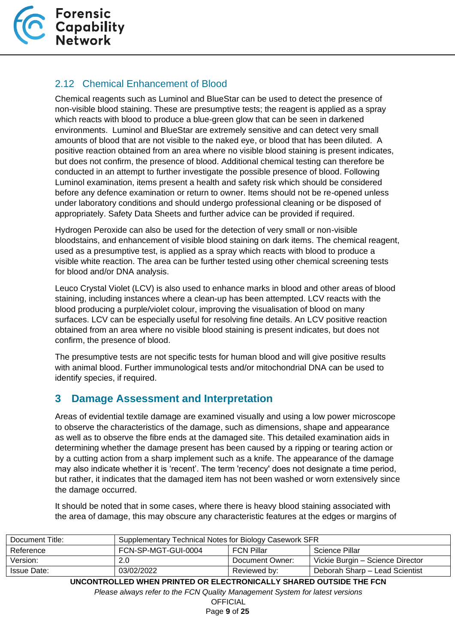

## <span id="page-8-0"></span>2.12 Chemical Enhancement of Blood

Chemical reagents such as Luminol and BlueStar can be used to detect the presence of non-visible blood staining. These are presumptive tests; the reagent is applied as a spray which reacts with blood to produce a blue-green glow that can be seen in darkened environments. Luminol and BlueStar are extremely sensitive and can detect very small amounts of blood that are not visible to the naked eye, or blood that has been diluted. A positive reaction obtained from an area where no visible blood staining is present indicates, but does not confirm, the presence of blood. Additional chemical testing can therefore be conducted in an attempt to further investigate the possible presence of blood. Following Luminol examination, items present a health and safety risk which should be considered before any defence examination or return to owner. Items should not be re-opened unless under laboratory conditions and should undergo professional cleaning or be disposed of appropriately. Safety Data Sheets and further advice can be provided if required.

Hydrogen Peroxide can also be used for the detection of very small or non-visible bloodstains, and enhancement of visible blood staining on dark items. The chemical reagent, used as a presumptive test, is applied as a spray which reacts with blood to produce a visible white reaction. The area can be further tested using other chemical screening tests for blood and/or DNA analysis.

Leuco Crystal Violet (LCV) is also used to enhance marks in blood and other areas of blood staining, including instances where a clean-up has been attempted. LCV reacts with the blood producing a purple/violet colour, improving the visualisation of blood on many surfaces. LCV can be especially useful for resolving fine details. An LCV positive reaction obtained from an area where no visible blood staining is present indicates, but does not confirm, the presence of blood.

The presumptive tests are not specific tests for human blood and will give positive results with animal blood. Further immunological tests and/or mitochondrial DNA can be used to identify species, if required.

## <span id="page-8-1"></span>**3 Damage Assessment and Interpretation**

Areas of evidential textile damage are examined visually and using a low power microscope to observe the characteristics of the damage, such as dimensions, shape and appearance as well as to observe the fibre ends at the damaged site. This detailed examination aids in determining whether the damage present has been caused by a ripping or tearing action or by a cutting action from a sharp implement such as a knife. The appearance of the damage may also indicate whether it is 'recent'. The term 'recency' does not designate a time period, but rather, it indicates that the damaged item has not been washed or worn extensively since the damage occurred.

It should be noted that in some cases, where there is heavy blood staining associated with the area of damage, this may obscure any characteristic features at the edges or margins of

| Document Title: | Supplementary Technical Notes for Biology Casework SFR |                   |                                  |
|-----------------|--------------------------------------------------------|-------------------|----------------------------------|
| Reference       | FCN-SP-MGT-GUI-0004                                    | <b>FCN Pillar</b> | Science Pillar                   |
| Version:        | 2.0                                                    | Document Owner:   | Vickie Burgin – Science Director |
| Issue Date:     | 03/02/2022                                             | Reviewed by:      | Deborah Sharp - Lead Scientist   |

**UNCONTROLLED WHEN PRINTED OR ELECTRONICALLY SHARED OUTSIDE THE FCN**

*Please always refer to the FCN Quality Management System for latest versions*

**OFFICIAL** Page **9** of **25**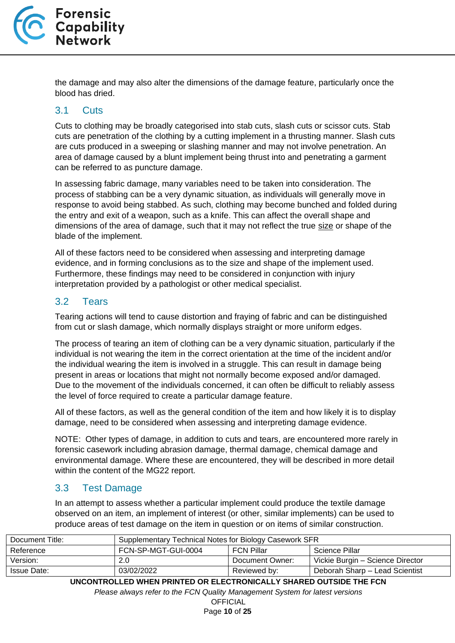

the damage and may also alter the dimensions of the damage feature, particularly once the blood has dried.

#### <span id="page-9-0"></span>3.1 Cuts

Cuts to clothing may be broadly categorised into stab cuts, slash cuts or scissor cuts. Stab cuts are penetration of the clothing by a cutting implement in a thrusting manner. Slash cuts are cuts produced in a sweeping or slashing manner and may not involve penetration. An area of damage caused by a blunt implement being thrust into and penetrating a garment can be referred to as puncture damage.

In assessing fabric damage, many variables need to be taken into consideration. The process of stabbing can be a very dynamic situation, as individuals will generally move in response to avoid being stabbed. As such, clothing may become bunched and folded during the entry and exit of a weapon, such as a knife. This can affect the overall shape and dimensions of the area of damage, such that it may not reflect the true size or shape of the blade of the implement.

All of these factors need to be considered when assessing and interpreting damage evidence, and in forming conclusions as to the size and shape of the implement used. Furthermore, these findings may need to be considered in conjunction with injury interpretation provided by a pathologist or other medical specialist.

#### <span id="page-9-1"></span>3.2 Tears

Tearing actions will tend to cause distortion and fraying of fabric and can be distinguished from cut or slash damage, which normally displays straight or more uniform edges.

The process of tearing an item of clothing can be a very dynamic situation, particularly if the individual is not wearing the item in the correct orientation at the time of the incident and/or the individual wearing the item is involved in a struggle. This can result in damage being present in areas or locations that might not normally become exposed and/or damaged. Due to the movement of the individuals concerned, it can often be difficult to reliably assess the level of force required to create a particular damage feature.

All of these factors, as well as the general condition of the item and how likely it is to display damage, need to be considered when assessing and interpreting damage evidence.

NOTE: Other types of damage, in addition to cuts and tears, are encountered more rarely in forensic casework including abrasion damage, thermal damage, chemical damage and environmental damage. Where these are encountered, they will be described in more detail within the content of the MG22 report.

#### <span id="page-9-2"></span>3.3 Test Damage

In an attempt to assess whether a particular implement could produce the textile damage observed on an item, an implement of interest (or other, similar implements) can be used to produce areas of test damage on the item in question or on items of similar construction.

| Document Title: | Supplementary Technical Notes for Biology Casework SFR |                 |                                  |
|-----------------|--------------------------------------------------------|-----------------|----------------------------------|
| Reference       | FCN-SP-MGT-GUI-0004                                    | FCN Pillar      | Science Pillar                   |
| Version:        | 2.0                                                    | Document Owner: | Vickie Burgin – Science Director |
| Issue Date:     | 03/02/2022                                             | Reviewed by:    | Deborah Sharp - Lead Scientist   |

**UNCONTROLLED WHEN PRINTED OR ELECTRONICALLY SHARED OUTSIDE THE FCN**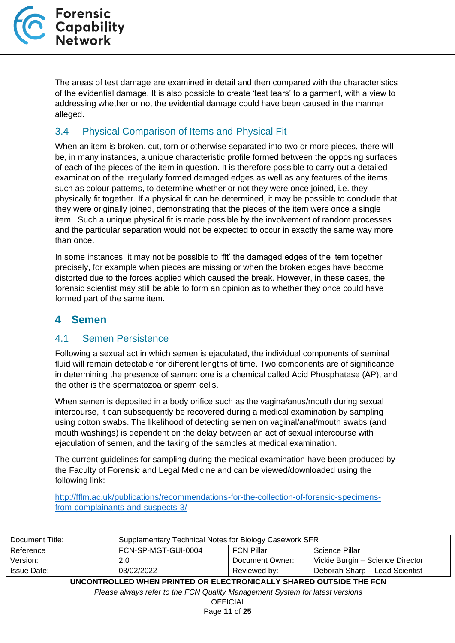The areas of test damage are examined in detail and then compared with the characteristics of the evidential damage. It is also possible to create 'test tears' to a garment, with a view to addressing whether or not the evidential damage could have been caused in the manner alleged.

## <span id="page-10-0"></span>3.4 Physical Comparison of Items and Physical Fit

When an item is broken, cut, torn or otherwise separated into two or more pieces, there will be, in many instances, a unique characteristic profile formed between the opposing surfaces of each of the pieces of the item in question. It is therefore possible to carry out a detailed examination of the irregularly formed damaged edges as well as any features of the items, such as colour patterns, to determine whether or not they were once joined, i.e. they physically fit together. If a physical fit can be determined, it may be possible to conclude that they were originally joined, demonstrating that the pieces of the item were once a single item. Such a unique physical fit is made possible by the involvement of random processes and the particular separation would not be expected to occur in exactly the same way more than once.

In some instances, it may not be possible to 'fit' the damaged edges of the item together precisely, for example when pieces are missing or when the broken edges have become distorted due to the forces applied which caused the break. However, in these cases, the forensic scientist may still be able to form an opinion as to whether they once could have formed part of the same item.

## <span id="page-10-1"></span>**4 Semen**

#### <span id="page-10-2"></span>4.1 Semen Persistence

Following a sexual act in which semen is ejaculated, the individual components of seminal fluid will remain detectable for different lengths of time. Two components are of significance in determining the presence of semen: one is a chemical called Acid Phosphatase (AP), and the other is the spermatozoa or sperm cells.

When semen is deposited in a body orifice such as the vagina/anus/mouth during sexual intercourse, it can subsequently be recovered during a medical examination by sampling using cotton swabs. The likelihood of detecting semen on vaginal/anal/mouth swabs (and mouth washings) is dependent on the delay between an act of sexual intercourse with ejaculation of semen, and the taking of the samples at medical examination.

The current guidelines for sampling during the medical examination have been produced by the Faculty of Forensic and Legal Medicine and can be viewed/downloaded using the following link:

[http://fflm.ac.uk/publications/recommendations-for-the-collection-of-forensic-specimens](http://fflm.ac.uk/publications/recommendations-for-the-collection-of-forensic-specimens-from-complainants-and-suspects-3/)[from-complainants-and-suspects-3/](http://fflm.ac.uk/publications/recommendations-for-the-collection-of-forensic-specimens-from-complainants-and-suspects-3/)

| Document Title:    | Supplementary Technical Notes for Biology Casework SFR |                   |                                  |
|--------------------|--------------------------------------------------------|-------------------|----------------------------------|
| Reference          | FCN-SP-MGT-GUI-0004                                    | <b>FCN Pillar</b> | Science Pillar                   |
| Version:           | 2.0                                                    | Document Owner:   | Vickie Burgin – Science Director |
| <b>Issue Date:</b> | 03/02/2022                                             | Reviewed by:      | Deborah Sharp - Lead Scientist   |

**UNCONTROLLED WHEN PRINTED OR ELECTRONICALLY SHARED OUTSIDE THE FCN**

*Please always refer to the FCN Quality Management System for latest versions*

**OFFICIAL** Page **11** of **25**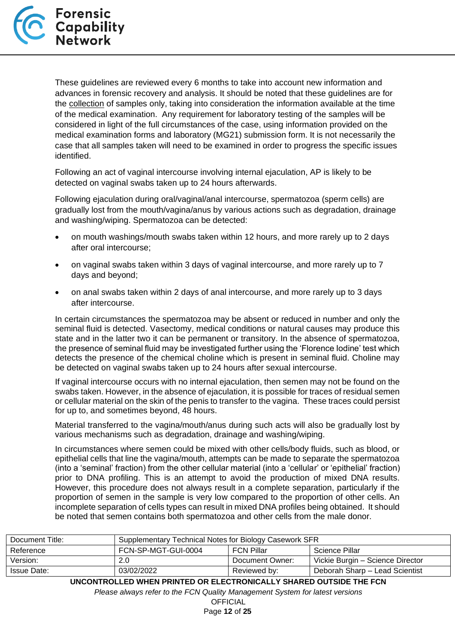

These guidelines are reviewed every 6 months to take into account new information and advances in forensic recovery and analysis. It should be noted that these guidelines are for the collection of samples only, taking into consideration the information available at the time of the medical examination. Any requirement for laboratory testing of the samples will be considered in light of the full circumstances of the case, using information provided on the medical examination forms and laboratory (MG21) submission form. It is not necessarily the case that all samples taken will need to be examined in order to progress the specific issues identified.

Following an act of vaginal intercourse involving internal ejaculation, AP is likely to be detected on vaginal swabs taken up to 24 hours afterwards.

Following ejaculation during oral/vaginal/anal intercourse, spermatozoa (sperm cells) are gradually lost from the mouth/vagina/anus by various actions such as degradation, drainage and washing/wiping. Spermatozoa can be detected:

- on mouth washings/mouth swabs taken within 12 hours, and more rarely up to 2 days after oral intercourse;
- on vaginal swabs taken within 3 days of vaginal intercourse, and more rarely up to 7 days and beyond;
- on anal swabs taken within 2 days of anal intercourse, and more rarely up to 3 days after intercourse.

In certain circumstances the spermatozoa may be absent or reduced in number and only the seminal fluid is detected. Vasectomy, medical conditions or natural causes may produce this state and in the latter two it can be permanent or transitory. In the absence of spermatozoa, the presence of seminal fluid may be investigated further using the 'Florence Iodine' test which detects the presence of the chemical choline which is present in seminal fluid. Choline may be detected on vaginal swabs taken up to 24 hours after sexual intercourse.

If vaginal intercourse occurs with no internal ejaculation, then semen may not be found on the swabs taken. However, in the absence of ejaculation, it is possible for traces of residual semen or cellular material on the skin of the penis to transfer to the vagina. These traces could persist for up to, and sometimes beyond, 48 hours.

Material transferred to the vagina/mouth/anus during such acts will also be gradually lost by various mechanisms such as degradation, drainage and washing/wiping.

In circumstances where semen could be mixed with other cells/body fluids, such as blood, or epithelial cells that line the vagina/mouth, attempts can be made to separate the spermatozoa (into a 'seminal' fraction) from the other cellular material (into a 'cellular' or 'epithelial' fraction) prior to DNA profiling. This is an attempt to avoid the production of mixed DNA results. However, this procedure does not always result in a complete separation, particularly if the proportion of semen in the sample is very low compared to the proportion of other cells. An incomplete separation of cells types can result in mixed DNA profiles being obtained. It should be noted that semen contains both spermatozoa and other cells from the male donor.

| Document Title:    | Supplementary Technical Notes for Biology Casework SFR |                   |                                  |
|--------------------|--------------------------------------------------------|-------------------|----------------------------------|
| Reference          | FCN-SP-MGT-GUI-0004                                    | <b>FCN Pillar</b> | Science Pillar                   |
| Version:           | 2.0                                                    | Document Owner:   | Vickie Burgin – Science Director |
| <b>Issue Date:</b> | 03/02/2022                                             | Reviewed by:      | Deborah Sharp - Lead Scientist   |

**UNCONTROLLED WHEN PRINTED OR ELECTRONICALLY SHARED OUTSIDE THE FCN**

*Please always refer to the FCN Quality Management System for latest versions*

**OFFICIAL** Page **12** of **25**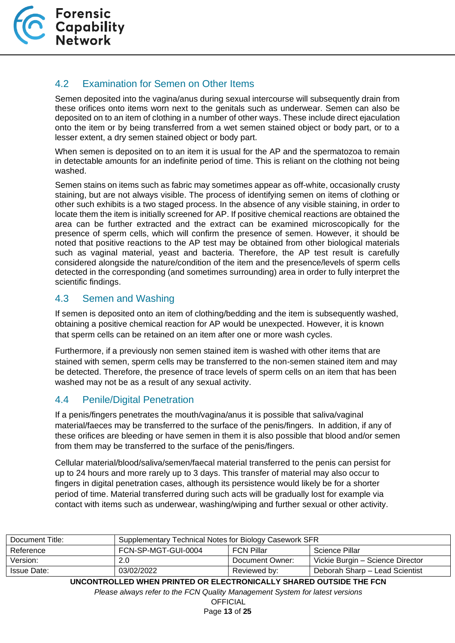

## <span id="page-12-0"></span>4.2 Examination for Semen on Other Items

Semen deposited into the vagina/anus during sexual intercourse will subsequently drain from these orifices onto items worn next to the genitals such as underwear. Semen can also be deposited on to an item of clothing in a number of other ways. These include direct ejaculation onto the item or by being transferred from a wet semen stained object or body part, or to a lesser extent, a dry semen stained object or body part.

When semen is deposited on to an item it is usual for the AP and the spermatozoa to remain in detectable amounts for an indefinite period of time. This is reliant on the clothing not being washed.

Semen stains on items such as fabric may sometimes appear as off-white, occasionally crusty staining, but are not always visible. The process of identifying semen on items of clothing or other such exhibits is a two staged process. In the absence of any visible staining, in order to locate them the item is initially screened for AP. If positive chemical reactions are obtained the area can be further extracted and the extract can be examined microscopically for the presence of sperm cells, which will confirm the presence of semen. However, it should be noted that positive reactions to the AP test may be obtained from other biological materials such as vaginal material, yeast and bacteria. Therefore, the AP test result is carefully considered alongside the nature/condition of the item and the presence/levels of sperm cells detected in the corresponding (and sometimes surrounding) area in order to fully interpret the scientific findings.

### <span id="page-12-1"></span>4.3 Semen and Washing

If semen is deposited onto an item of clothing/bedding and the item is subsequently washed, obtaining a positive chemical reaction for AP would be unexpected. However, it is known that sperm cells can be retained on an item after one or more wash cycles.

Furthermore, if a previously non semen stained item is washed with other items that are stained with semen, sperm cells may be transferred to the non-semen stained item and may be detected. Therefore, the presence of trace levels of sperm cells on an item that has been washed may not be as a result of any sexual activity.

#### <span id="page-12-2"></span>4.4 Penile/Digital Penetration

If a penis/fingers penetrates the mouth/vagina/anus it is possible that saliva/vaginal material/faeces may be transferred to the surface of the penis/fingers. In addition, if any of these orifices are bleeding or have semen in them it is also possible that blood and/or semen from them may be transferred to the surface of the penis/fingers.

Cellular material/blood/saliva/semen/faecal material transferred to the penis can persist for up to 24 hours and more rarely up to 3 days. This transfer of material may also occur to fingers in digital penetration cases, although its persistence would likely be for a shorter period of time. Material transferred during such acts will be gradually lost for example via contact with items such as underwear, washing/wiping and further sexual or other activity.

| Document Title: | Supplementary Technical Notes for Biology Casework SFR |                   |                                  |
|-----------------|--------------------------------------------------------|-------------------|----------------------------------|
| Reference       | FCN-SP-MGT-GUI-0004                                    | <b>FCN Pillar</b> | Science Pillar                   |
| Version:        | 2.0                                                    | Document Owner:   | Vickie Burgin – Science Director |
| Issue Date:     | 03/02/2022                                             | Reviewed by:      | Deborah Sharp - Lead Scientist   |

**UNCONTROLLED WHEN PRINTED OR ELECTRONICALLY SHARED OUTSIDE THE FCN**

*Please always refer to the FCN Quality Management System for latest versions*

**OFFICIAL** Page **13** of **25**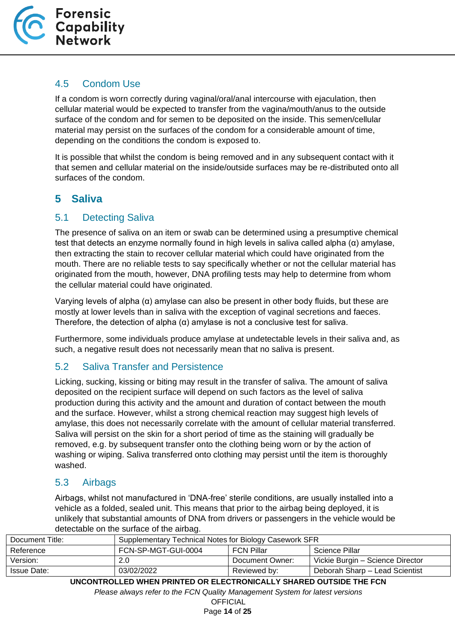

## <span id="page-13-0"></span>4.5 Condom Use

If a condom is worn correctly during vaginal/oral/anal intercourse with ejaculation, then cellular material would be expected to transfer from the vagina/mouth/anus to the outside surface of the condom and for semen to be deposited on the inside. This semen/cellular material may persist on the surfaces of the condom for a considerable amount of time, depending on the conditions the condom is exposed to.

It is possible that whilst the condom is being removed and in any subsequent contact with it that semen and cellular material on the inside/outside surfaces may be re-distributed onto all surfaces of the condom.

## <span id="page-13-1"></span>**5 Saliva**

#### <span id="page-13-2"></span>5.1 Detecting Saliva

The presence of saliva on an item or swab can be determined using a presumptive chemical test that detects an enzyme normally found in high levels in saliva called alpha (α) amylase, then extracting the stain to recover cellular material which could have originated from the mouth. There are no reliable tests to say specifically whether or not the cellular material has originated from the mouth, however, DNA profiling tests may help to determine from whom the cellular material could have originated.

Varying levels of alpha (α) amylase can also be present in other body fluids, but these are mostly at lower levels than in saliva with the exception of vaginal secretions and faeces. Therefore, the detection of alpha  $(\alpha)$  amylase is not a conclusive test for saliva.

Furthermore, some individuals produce amylase at undetectable levels in their saliva and, as such, a negative result does not necessarily mean that no saliva is present.

## <span id="page-13-3"></span>5.2 Saliva Transfer and Persistence

Licking, sucking, kissing or biting may result in the transfer of saliva. The amount of saliva deposited on the recipient surface will depend on such factors as the level of saliva production during this activity and the amount and duration of contact between the mouth and the surface. However, whilst a strong chemical reaction may suggest high levels of amylase, this does not necessarily correlate with the amount of cellular material transferred. Saliva will persist on the skin for a short period of time as the staining will gradually be removed, e.g. by subsequent transfer onto the clothing being worn or by the action of washing or wiping. Saliva transferred onto clothing may persist until the item is thoroughly washed.

#### <span id="page-13-4"></span>5.3 Airbags

Airbags, whilst not manufactured in 'DNA-free' sterile conditions, are usually installed into a vehicle as a folded, sealed unit. This means that prior to the airbag being deployed, it is unlikely that substantial amounts of DNA from drivers or passengers in the vehicle would be detectable on the surface of the airbag.

| Document Title:    | Supplementary Technical Notes for Biology Casework SFR |                 |                                  |
|--------------------|--------------------------------------------------------|-----------------|----------------------------------|
| Reference          | FCN-SP-MGT-GUI-0004                                    | FCN Pillar      | Science Pillar                   |
| Version:           | 2.0                                                    | Document Owner: | Vickie Burgin – Science Director |
| <b>Issue Date:</b> | 03/02/2022                                             | Reviewed by:    | Deborah Sharp - Lead Scientist   |
|                    |                                                        |                 |                                  |

**UNCONTROLLED WHEN PRINTED OR ELECTRONICALLY SHARED OUTSIDE THE FCN**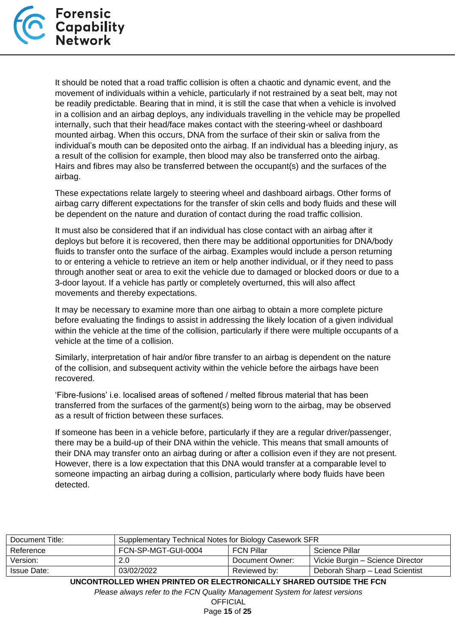

It should be noted that a road traffic collision is often a chaotic and dynamic event, and the movement of individuals within a vehicle, particularly if not restrained by a seat belt, may not be readily predictable. Bearing that in mind, it is still the case that when a vehicle is involved in a collision and an airbag deploys, any individuals travelling in the vehicle may be propelled internally, such that their head/face makes contact with the steering-wheel or dashboard mounted airbag. When this occurs, DNA from the surface of their skin or saliva from the individual's mouth can be deposited onto the airbag. If an individual has a bleeding injury, as a result of the collision for example, then blood may also be transferred onto the airbag. Hairs and fibres may also be transferred between the occupant(s) and the surfaces of the airbag.

These expectations relate largely to steering wheel and dashboard airbags. Other forms of airbag carry different expectations for the transfer of skin cells and body fluids and these will be dependent on the nature and duration of contact during the road traffic collision.

It must also be considered that if an individual has close contact with an airbag after it deploys but before it is recovered, then there may be additional opportunities for DNA/body fluids to transfer onto the surface of the airbag. Examples would include a person returning to or entering a vehicle to retrieve an item or help another individual, or if they need to pass through another seat or area to exit the vehicle due to damaged or blocked doors or due to a 3-door layout. If a vehicle has partly or completely overturned, this will also affect movements and thereby expectations.

It may be necessary to examine more than one airbag to obtain a more complete picture before evaluating the findings to assist in addressing the likely location of a given individual within the vehicle at the time of the collision, particularly if there were multiple occupants of a vehicle at the time of a collision.

Similarly, interpretation of hair and/or fibre transfer to an airbag is dependent on the nature of the collision, and subsequent activity within the vehicle before the airbags have been recovered.

'Fibre-fusions' i.e. localised areas of softened / melted fibrous material that has been transferred from the surfaces of the garment(s) being worn to the airbag, may be observed as a result of friction between these surfaces.

If someone has been in a vehicle before, particularly if they are a regular driver/passenger, there may be a build-up of their DNA within the vehicle. This means that small amounts of their DNA may transfer onto an airbag during or after a collision even if they are not present. However, there is a low expectation that this DNA would transfer at a comparable level to someone impacting an airbag during a collision, particularly where body fluids have been detected.

| Document Title:    | Supplementary Technical Notes for Biology Casework SFR |                   |                                  |
|--------------------|--------------------------------------------------------|-------------------|----------------------------------|
| Reference          | FCN-SP-MGT-GUI-0004                                    | <b>FCN Pillar</b> | Science Pillar                   |
| Version:           | 2.0                                                    | Document Owner:   | Vickie Burgin - Science Director |
| <b>Issue Date:</b> | 03/02/2022                                             | Reviewed by:      | Deborah Sharp - Lead Scientist   |

**UNCONTROLLED WHEN PRINTED OR ELECTRONICALLY SHARED OUTSIDE THE FCN**

*Please always refer to the FCN Quality Management System for latest versions*

**OFFICIAL** Page **15** of **25**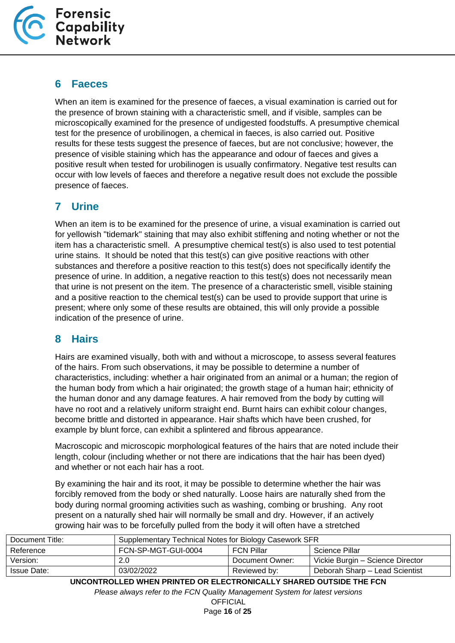

## <span id="page-15-0"></span>**6 Faeces**

When an item is examined for the presence of faeces, a visual examination is carried out for the presence of brown staining with a characteristic smell, and if visible, samples can be microscopically examined for the presence of undigested foodstuffs. A presumptive chemical test for the presence of urobilinogen, a chemical in faeces, is also carried out. Positive results for these tests suggest the presence of faeces, but are not conclusive; however, the presence of visible staining which has the appearance and odour of faeces and gives a positive result when tested for urobilinogen is usually confirmatory. Negative test results can occur with low levels of faeces and therefore a negative result does not exclude the possible presence of faeces.

## <span id="page-15-1"></span>**7 Urine**

When an item is to be examined for the presence of urine, a visual examination is carried out for yellowish "tidemark" staining that may also exhibit stiffening and noting whether or not the item has a characteristic smell. A presumptive chemical test(s) is also used to test potential urine stains. It should be noted that this test(s) can give positive reactions with other substances and therefore a positive reaction to this test(s) does not specifically identify the presence of urine. In addition, a negative reaction to this test(s) does not necessarily mean that urine is not present on the item. The presence of a characteristic smell, visible staining and a positive reaction to the chemical test(s) can be used to provide support that urine is present; where only some of these results are obtained, this will only provide a possible indication of the presence of urine.

## <span id="page-15-2"></span>**8 Hairs**

Hairs are examined visually, both with and without a microscope, to assess several features of the hairs. From such observations, it may be possible to determine a number of characteristics, including: whether a hair originated from an animal or a human; the region of the human body from which a hair originated; the growth stage of a human hair; ethnicity of the human donor and any damage features. A hair removed from the body by cutting will have no root and a relatively uniform straight end. Burnt hairs can exhibit colour changes, become brittle and distorted in appearance. Hair shafts which have been crushed, for example by blunt force, can exhibit a splintered and fibrous appearance.

Macroscopic and microscopic morphological features of the hairs that are noted include their length, colour (including whether or not there are indications that the hair has been dyed) and whether or not each hair has a root.

By examining the hair and its root, it may be possible to determine whether the hair was forcibly removed from the body or shed naturally. Loose hairs are naturally shed from the body during normal grooming activities such as washing, combing or brushing. Any root present on a naturally shed hair will normally be small and dry. However, if an actively growing hair was to be forcefully pulled from the body it will often have a stretched

| Document Title: | Supplementary Technical Notes for Biology Casework SFR |                   |                                  |
|-----------------|--------------------------------------------------------|-------------------|----------------------------------|
| Reference       | FCN-SP-MGT-GUI-0004                                    | <b>FCN Pillar</b> | Science Pillar                   |
| Version:        | 2.0                                                    | Document Owner:   | Vickie Burgin – Science Director |
| Issue Date:     | 03/02/2022                                             | Reviewed by:      | Deborah Sharp - Lead Scientist   |
|                 |                                                        |                   |                                  |

**UNCONTROLLED WHEN PRINTED OR ELECTRONICALLY SHARED OUTSIDE THE FCN**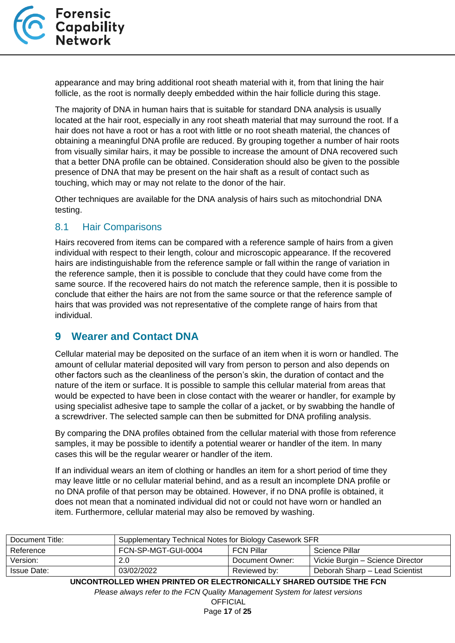

appearance and may bring additional root sheath material with it, from that lining the hair follicle, as the root is normally deeply embedded within the hair follicle during this stage.

The majority of DNA in human hairs that is suitable for standard DNA analysis is usually located at the hair root, especially in any root sheath material that may surround the root. If a hair does not have a root or has a root with little or no root sheath material, the chances of obtaining a meaningful DNA profile are reduced. By grouping together a number of hair roots from visually similar hairs, it may be possible to increase the amount of DNA recovered such that a better DNA profile can be obtained. Consideration should also be given to the possible presence of DNA that may be present on the hair shaft as a result of contact such as touching, which may or may not relate to the donor of the hair.

Other techniques are available for the DNA analysis of hairs such as mitochondrial DNA testing.

#### <span id="page-16-0"></span>8.1 Hair Comparisons

Hairs recovered from items can be compared with a reference sample of hairs from a given individual with respect to their length, colour and microscopic appearance. If the recovered hairs are indistinguishable from the reference sample or fall within the range of variation in the reference sample, then it is possible to conclude that they could have come from the same source. If the recovered hairs do not match the reference sample, then it is possible to conclude that either the hairs are not from the same source or that the reference sample of hairs that was provided was not representative of the complete range of hairs from that individual.

#### <span id="page-16-1"></span>**9 Wearer and Contact DNA**

Cellular material may be deposited on the surface of an item when it is worn or handled. The amount of cellular material deposited will vary from person to person and also depends on other factors such as the cleanliness of the person's skin, the duration of contact and the nature of the item or surface. It is possible to sample this cellular material from areas that would be expected to have been in close contact with the wearer or handler, for example by using specialist adhesive tape to sample the collar of a jacket, or by swabbing the handle of a screwdriver. The selected sample can then be submitted for DNA profiling analysis.

By comparing the DNA profiles obtained from the cellular material with those from reference samples, it may be possible to identify a potential wearer or handler of the item. In many cases this will be the regular wearer or handler of the item.

If an individual wears an item of clothing or handles an item for a short period of time they may leave little or no cellular material behind, and as a result an incomplete DNA profile or no DNA profile of that person may be obtained. However, if no DNA profile is obtained, it does not mean that a nominated individual did not or could not have worn or handled an item. Furthermore, cellular material may also be removed by washing.

| Document Title:    | Supplementary Technical Notes for Biology Casework SFR |                   |                                  |
|--------------------|--------------------------------------------------------|-------------------|----------------------------------|
| Reference          | FCN-SP-MGT-GUI-0004                                    | <b>FCN Pillar</b> | Science Pillar                   |
| Version:           | 2.0                                                    | Document Owner:   | Vickie Burgin - Science Director |
| <b>Issue Date:</b> | 03/02/2022                                             | Reviewed by:      | Deborah Sharp - Lead Scientist   |

**UNCONTROLLED WHEN PRINTED OR ELECTRONICALLY SHARED OUTSIDE THE FCN**

*Please always refer to the FCN Quality Management System for latest versions*

**OFFICIAL** Page **17** of **25**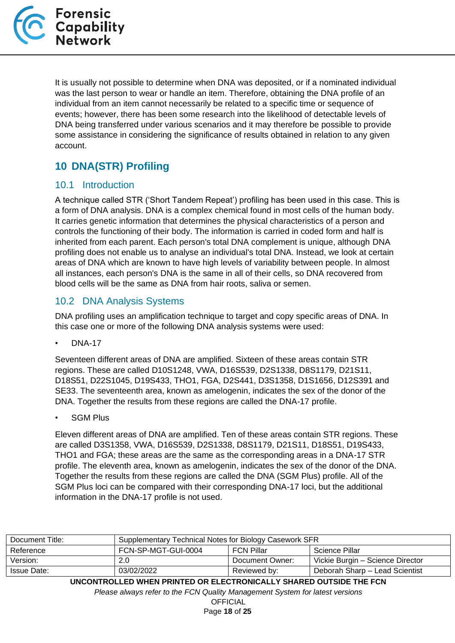

It is usually not possible to determine when DNA was deposited, or if a nominated individual was the last person to wear or handle an item. Therefore, obtaining the DNA profile of an individual from an item cannot necessarily be related to a specific time or sequence of events; however, there has been some research into the likelihood of detectable levels of DNA being transferred under various scenarios and it may therefore be possible to provide some assistance in considering the significance of results obtained in relation to any given account.

## <span id="page-17-0"></span>**10 DNA(STR) Profiling**

#### <span id="page-17-1"></span>10.1 Introduction

A technique called STR ('Short Tandem Repeat') profiling has been used in this case. This is a form of DNA analysis. DNA is a complex chemical found in most cells of the human body. It carries genetic information that determines the physical characteristics of a person and controls the functioning of their body. The information is carried in coded form and half is inherited from each parent. Each person's total DNA complement is unique, although DNA profiling does not enable us to analyse an individual's total DNA. Instead, we look at certain areas of DNA which are known to have high levels of variability between people. In almost all instances, each person's DNA is the same in all of their cells, so DNA recovered from blood cells will be the same as DNA from hair roots, saliva or semen.

### <span id="page-17-2"></span>10.2 DNA Analysis Systems

DNA profiling uses an amplification technique to target and copy specific areas of DNA. In this case one or more of the following DNA analysis systems were used:

• DNA-17

Seventeen different areas of DNA are amplified. Sixteen of these areas contain STR regions. These are called D10S1248, VWA, D16S539, D2S1338, D8S1179, D21S11, D18S51, D22S1045, D19S433, THO1, FGA, D2S441, D3S1358, D1S1656, D12S391 and SE33. The seventeenth area, known as amelogenin, indicates the sex of the donor of the DNA. Together the results from these regions are called the DNA-17 profile.

**SGM Plus** 

Eleven different areas of DNA are amplified. Ten of these areas contain STR regions. These are called D3S1358, VWA, D16S539, D2S1338, D8S1179, D21S11, D18S51, D19S433, THO1 and FGA; these areas are the same as the corresponding areas in a DNA-17 STR profile. The eleventh area, known as amelogenin, indicates the sex of the donor of the DNA. Together the results from these regions are called the DNA (SGM Plus) profile. All of the SGM Plus loci can be compared with their corresponding DNA-17 loci, but the additional information in the DNA-17 profile is not used.

| Document Title:    | Supplementary Technical Notes for Biology Casework SFR |                   |                                  |
|--------------------|--------------------------------------------------------|-------------------|----------------------------------|
| Reference          | FCN-SP-MGT-GUI-0004                                    | <b>FCN Pillar</b> | Science Pillar                   |
| Version:           | 2.0                                                    | Document Owner:   | Vickie Burgin - Science Director |
| <b>Issue Date:</b> | 03/02/2022                                             | Reviewed by:      | Deborah Sharp - Lead Scientist   |

**UNCONTROLLED WHEN PRINTED OR ELECTRONICALLY SHARED OUTSIDE THE FCN**

*Please always refer to the FCN Quality Management System for latest versions*

**OFFICIAL** Page **18** of **25**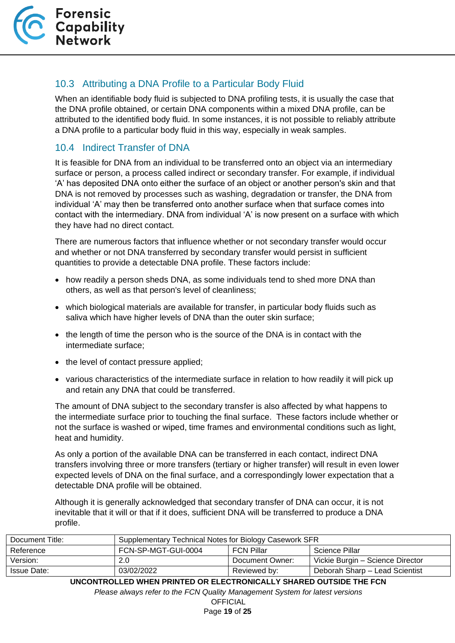

## <span id="page-18-0"></span>10.3 Attributing a DNA Profile to a Particular Body Fluid

When an identifiable body fluid is subjected to DNA profiling tests, it is usually the case that the DNA profile obtained, or certain DNA components within a mixed DNA profile, can be attributed to the identified body fluid. In some instances, it is not possible to reliably attribute a DNA profile to a particular body fluid in this way, especially in weak samples.

#### <span id="page-18-1"></span>10.4 Indirect Transfer of DNA

It is feasible for DNA from an individual to be transferred onto an object via an intermediary surface or person, a process called indirect or secondary transfer. For example, if individual 'A' has deposited DNA onto either the surface of an object or another person's skin and that DNA is not removed by processes such as washing, degradation or transfer, the DNA from individual 'A' may then be transferred onto another surface when that surface comes into contact with the intermediary. DNA from individual 'A' is now present on a surface with which they have had no direct contact.

There are numerous factors that influence whether or not secondary transfer would occur and whether or not DNA transferred by secondary transfer would persist in sufficient quantities to provide a detectable DNA profile. These factors include:

- how readily a person sheds DNA, as some individuals tend to shed more DNA than others, as well as that person's level of cleanliness;
- which biological materials are available for transfer, in particular body fluids such as saliva which have higher levels of DNA than the outer skin surface;
- the length of time the person who is the source of the DNA is in contact with the intermediate surface;
- the level of contact pressure applied;
- various characteristics of the intermediate surface in relation to how readily it will pick up and retain any DNA that could be transferred.

The amount of DNA subject to the secondary transfer is also affected by what happens to the intermediate surface prior to touching the final surface. These factors include whether or not the surface is washed or wiped, time frames and environmental conditions such as light, heat and humidity.

As only a portion of the available DNA can be transferred in each contact, indirect DNA transfers involving three or more transfers (tertiary or higher transfer) will result in even lower expected levels of DNA on the final surface, and a correspondingly lower expectation that a detectable DNA profile will be obtained.

Although it is generally acknowledged that secondary transfer of DNA can occur, it is not inevitable that it will or that if it does, sufficient DNA will be transferred to produce a DNA profile.

| Supplementary Technical Notes for Biology Casework SFR |  |                                                      |
|--------------------------------------------------------|--|------------------------------------------------------|
| FCN-SP-MGT-GUI-0004                                    |  | Science Pillar                                       |
| 2.0                                                    |  | Vickie Burgin – Science Director                     |
| 03/02/2022                                             |  | Deborah Sharp - Lead Scientist                       |
|                                                        |  | <b>FCN Pillar</b><br>Document Owner:<br>Reviewed by: |

**UNCONTROLLED WHEN PRINTED OR ELECTRONICALLY SHARED OUTSIDE THE FCN**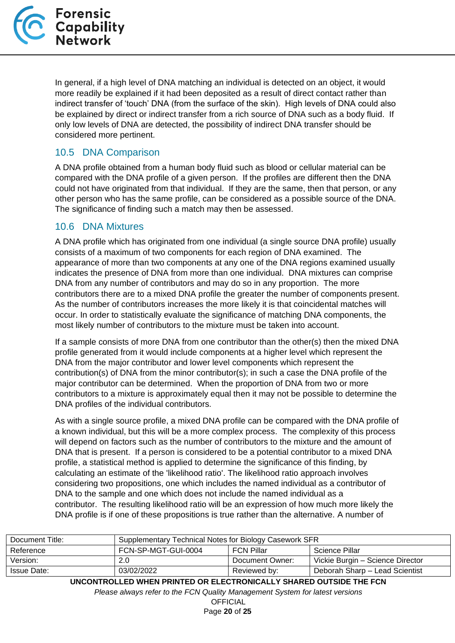

In general, if a high level of DNA matching an individual is detected on an object, it would more readily be explained if it had been deposited as a result of direct contact rather than indirect transfer of 'touch' DNA (from the surface of the skin). High levels of DNA could also be explained by direct or indirect transfer from a rich source of DNA such as a body fluid. If only low levels of DNA are detected, the possibility of indirect DNA transfer should be considered more pertinent.

#### <span id="page-19-0"></span>10.5 DNA Comparison

A DNA profile obtained from a human body fluid such as blood or cellular material can be compared with the DNA profile of a given person. If the profiles are different then the DNA could not have originated from that individual. If they are the same, then that person, or any other person who has the same profile, can be considered as a possible source of the DNA. The significance of finding such a match may then be assessed.

#### <span id="page-19-1"></span>10.6 DNA Mixtures

A DNA profile which has originated from one individual (a single source DNA profile) usually consists of a maximum of two components for each region of DNA examined. The appearance of more than two components at any one of the DNA regions examined usually indicates the presence of DNA from more than one individual. DNA mixtures can comprise DNA from any number of contributors and may do so in any proportion. The more contributors there are to a mixed DNA profile the greater the number of components present. As the number of contributors increases the more likely it is that coincidental matches will occur. In order to statistically evaluate the significance of matching DNA components, the most likely number of contributors to the mixture must be taken into account.

If a sample consists of more DNA from one contributor than the other(s) then the mixed DNA profile generated from it would include components at a higher level which represent the DNA from the major contributor and lower level components which represent the contribution(s) of DNA from the minor contributor(s); in such a case the DNA profile of the major contributor can be determined. When the proportion of DNA from two or more contributors to a mixture is approximately equal then it may not be possible to determine the DNA profiles of the individual contributors.

As with a single source profile, a mixed DNA profile can be compared with the DNA profile of a known individual, but this will be a more complex process. The complexity of this process will depend on factors such as the number of contributors to the mixture and the amount of DNA that is present. If a person is considered to be a potential contributor to a mixed DNA profile, a statistical method is applied to determine the significance of this finding, by calculating an estimate of the 'likelihood ratio'. The likelihood ratio approach involves considering two propositions, one which includes the named individual as a contributor of DNA to the sample and one which does not include the named individual as a contributor. The resulting likelihood ratio will be an expression of how much more likely the DNA profile is if one of these propositions is true rather than the alternative. A number of

| Document Title: | Supplementary Technical Notes for Biology Casework SFR |                   |                                  |
|-----------------|--------------------------------------------------------|-------------------|----------------------------------|
| Reference       | FCN-SP-MGT-GUI-0004                                    | <b>FCN Pillar</b> | Science Pillar                   |
| Version:        | 2.0                                                    | Document Owner:   | Vickie Burgin – Science Director |
| Issue Date:     | 03/02/2022                                             | Reviewed by:      | Deborah Sharp - Lead Scientist   |

**UNCONTROLLED WHEN PRINTED OR ELECTRONICALLY SHARED OUTSIDE THE FCN**

*Please always refer to the FCN Quality Management System for latest versions*

**OFFICIAL** Page **20** of **25**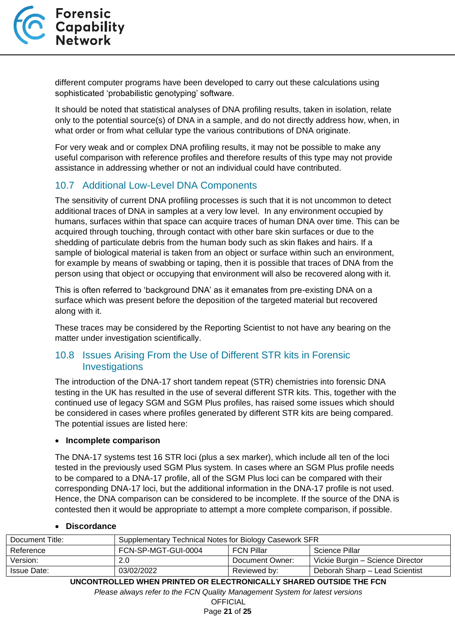

different computer programs have been developed to carry out these calculations using sophisticated 'probabilistic genotyping' software.

It should be noted that statistical analyses of DNA profiling results, taken in isolation, relate only to the potential source(s) of DNA in a sample, and do not directly address how, when, in what order or from what cellular type the various contributions of DNA originate.

For very weak and or complex DNA profiling results, it may not be possible to make any useful comparison with reference profiles and therefore results of this type may not provide assistance in addressing whether or not an individual could have contributed.

#### <span id="page-20-0"></span>10.7 Additional Low-Level DNA Components

The sensitivity of current DNA profiling processes is such that it is not uncommon to detect additional traces of DNA in samples at a very low level. In any environment occupied by humans, surfaces within that space can acquire traces of human DNA over time. This can be acquired through touching, through contact with other bare skin surfaces or due to the shedding of particulate debris from the human body such as skin flakes and hairs. If a sample of biological material is taken from an object or surface within such an environment, for example by means of swabbing or taping, then it is possible that traces of DNA from the person using that object or occupying that environment will also be recovered along with it.

This is often referred to 'background DNA' as it emanates from pre-existing DNA on a surface which was present before the deposition of the targeted material but recovered along with it.

These traces may be considered by the Reporting Scientist to not have any bearing on the matter under investigation scientifically.

#### <span id="page-20-1"></span>10.8 Issues Arising From the Use of Different STR kits in Forensic **Investigations**

The introduction of the DNA-17 short tandem repeat (STR) chemistries into forensic DNA testing in the UK has resulted in the use of several different STR kits. This, together with the continued use of legacy SGM and SGM Plus profiles, has raised some issues which should be considered in cases where profiles generated by different STR kits are being compared. The potential issues are listed here:

#### • **Incomplete comparison**

The DNA-17 systems test 16 STR loci (plus a sex marker), which include all ten of the loci tested in the previously used SGM Plus system. In cases where an SGM Plus profile needs to be compared to a DNA-17 profile, all of the SGM Plus loci can be compared with their corresponding DNA-17 loci, but the additional information in the DNA-17 profile is not used. Hence, the DNA comparison can be considered to be incomplete. If the source of the DNA is contested then it would be appropriate to attempt a more complete comparison, if possible.

#### • **Discordance**

| Document Title: | Supplementary Technical Notes for Biology Casework SFR |                   |                                  |
|-----------------|--------------------------------------------------------|-------------------|----------------------------------|
| Reference       | FCN-SP-MGT-GUI-0004                                    | <b>FCN Pillar</b> | Science Pillar                   |
| Version:        | $2.0^{\circ}$                                          | Document Owner:   | Vickie Burgin - Science Director |
| Issue Date:     | 03/02/2022                                             | Reviewed by:      | Deborah Sharp - Lead Scientist   |
|                 |                                                        |                   |                                  |

**UNCONTROLLED WHEN PRINTED OR ELECTRONICALLY SHARED OUTSIDE THE FCN**

*Please always refer to the FCN Quality Management System for latest versions*

**OFFICIAL** Page **21** of **25**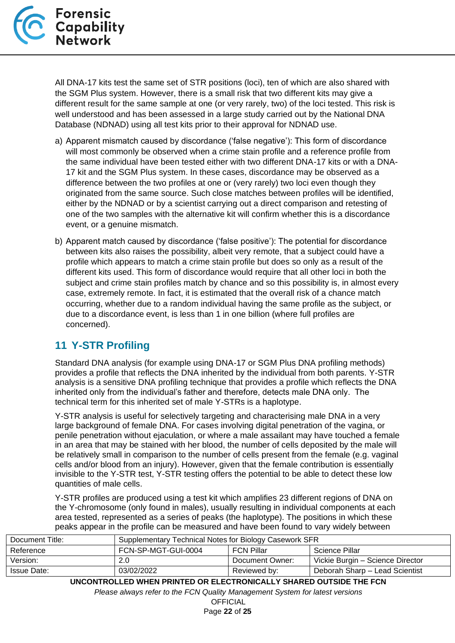

All DNA-17 kits test the same set of STR positions (loci), ten of which are also shared with the SGM Plus system. However, there is a small risk that two different kits may give a different result for the same sample at one (or very rarely, two) of the loci tested. This risk is well understood and has been assessed in a large study carried out by the National DNA Database (NDNAD) using all test kits prior to their approval for NDNAD use.

- a) Apparent mismatch caused by discordance ('false negative'): This form of discordance will most commonly be observed when a crime stain profile and a reference profile from the same individual have been tested either with two different DNA-17 kits or with a DNA-17 kit and the SGM Plus system. In these cases, discordance may be observed as a difference between the two profiles at one or (very rarely) two loci even though they originated from the same source. Such close matches between profiles will be identified, either by the NDNAD or by a scientist carrying out a direct comparison and retesting of one of the two samples with the alternative kit will confirm whether this is a discordance event, or a genuine mismatch.
- b) Apparent match caused by discordance ('false positive'): The potential for discordance between kits also raises the possibility, albeit very remote, that a subject could have a profile which appears to match a crime stain profile but does so only as a result of the different kits used. This form of discordance would require that all other loci in both the subject and crime stain profiles match by chance and so this possibility is, in almost every case, extremely remote. In fact, it is estimated that the overall risk of a chance match occurring, whether due to a random individual having the same profile as the subject, or due to a discordance event, is less than 1 in one billion (where full profiles are concerned).

## <span id="page-21-0"></span>**11 Y-STR Profiling**

Standard DNA analysis (for example using DNA-17 or SGM Plus DNA profiling methods) provides a profile that reflects the DNA inherited by the individual from both parents. Y-STR analysis is a sensitive DNA profiling technique that provides a profile which reflects the DNA inherited only from the individual's father and therefore, detects male DNA only. The technical term for this inherited set of male Y-STRs is a haplotype.

Y-STR analysis is useful for selectively targeting and characterising male DNA in a very large background of female DNA. For cases involving digital penetration of the vagina, or penile penetration without ejaculation, or where a male assailant may have touched a female in an area that may be stained with her blood, the number of cells deposited by the male will be relatively small in comparison to the number of cells present from the female (e.g. vaginal cells and/or blood from an injury). However, given that the female contribution is essentially invisible to the Y-STR test, Y-STR testing offers the potential to be able to detect these low quantities of male cells.

Y-STR profiles are produced using a test kit which amplifies 23 different regions of DNA on the Y-chromosome (only found in males), usually resulting in individual components at each area tested, represented as a series of peaks (the haplotype). The positions in which these peaks appear in the profile can be measured and have been found to vary widely between

| Document Title:    | Supplementary Technical Notes for Biology Casework SFR |                   |                                  |
|--------------------|--------------------------------------------------------|-------------------|----------------------------------|
| Reference          | FCN-SP-MGT-GUI-0004                                    | <b>FCN Pillar</b> | Science Pillar                   |
| Version:           | 2.0                                                    | Document Owner:   | Vickie Burgin – Science Director |
| <b>Issue Date:</b> | 03/02/2022                                             | Reviewed by:      | Deborah Sharp - Lead Scientist   |

**UNCONTROLLED WHEN PRINTED OR ELECTRONICALLY SHARED OUTSIDE THE FCN**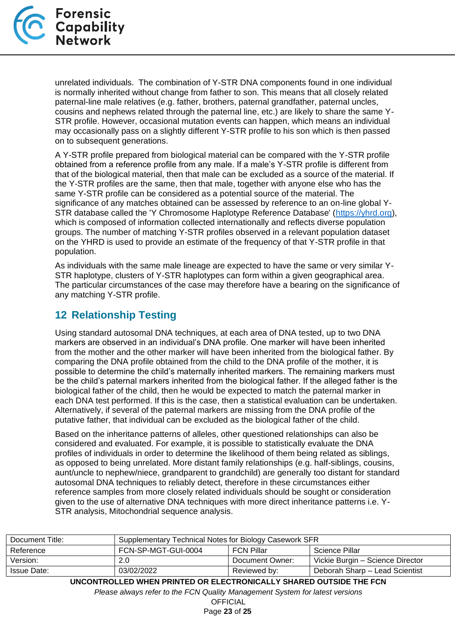

unrelated individuals. The combination of Y-STR DNA components found in one individual is normally inherited without change from father to son. This means that all closely related paternal-line male relatives (e.g. father, brothers, paternal grandfather, paternal uncles, cousins and nephews related through the paternal line, etc.) are likely to share the same Y-STR profile. However, occasional mutation events can happen, which means an individual may occasionally pass on a slightly different Y-STR profile to his son which is then passed on to subsequent generations.

A Y-STR profile prepared from biological material can be compared with the Y-STR profile obtained from a reference profile from any male. If a male's Y-STR profile is different from that of the biological material, then that male can be excluded as a source of the material. If the Y-STR profiles are the same, then that male, together with anyone else who has the same Y-STR profile can be considered as a potential source of the material. The significance of any matches obtained can be assessed by reference to an on-line global Y-STR database called the 'Y Chromosome Haplotype Reference Database' [\(https://yhrd.org\)](https://yhrd.org/), which is composed of information collected internationally and reflects diverse population groups. The number of matching Y-STR profiles observed in a relevant population dataset on the YHRD is used to provide an estimate of the frequency of that Y-STR profile in that population.

As individuals with the same male lineage are expected to have the same or very similar Y-STR haplotype, clusters of Y-STR haplotypes can form within a given geographical area. The particular circumstances of the case may therefore have a bearing on the significance of any matching Y-STR profile.

## <span id="page-22-0"></span>**12 Relationship Testing**

Using standard autosomal DNA techniques, at each area of DNA tested, up to two DNA markers are observed in an individual's DNA profile. One marker will have been inherited from the mother and the other marker will have been inherited from the biological father. By comparing the DNA profile obtained from the child to the DNA profile of the mother, it is possible to determine the child's maternally inherited markers. The remaining markers must be the child's paternal markers inherited from the biological father. If the alleged father is the biological father of the child, then he would be expected to match the paternal marker in each DNA test performed. If this is the case, then a statistical evaluation can be undertaken. Alternatively, if several of the paternal markers are missing from the DNA profile of the putative father, that individual can be excluded as the biological father of the child.

Based on the inheritance patterns of alleles, other questioned relationships can also be considered and evaluated. For example, it is possible to statistically evaluate the DNA profiles of individuals in order to determine the likelihood of them being related as siblings, as opposed to being unrelated. More distant family relationships (e.g. half-siblings, cousins, aunt/uncle to nephew/niece, grandparent to grandchild) are generally too distant for standard autosomal DNA techniques to reliably detect, therefore in these circumstances either reference samples from more closely related individuals should be sought or consideration given to the use of alternative DNA techniques with more direct inheritance patterns i.e. Y-STR analysis, Mitochondrial sequence analysis.

| Supplementary Technical Notes for Biology Casework SFR |                   |                                  |
|--------------------------------------------------------|-------------------|----------------------------------|
| FCN-SP-MGT-GUI-0004                                    | <b>FCN Pillar</b> | Science Pillar                   |
| 2.0                                                    | Document Owner:   | Vickie Burgin – Science Director |
| 03/02/2022                                             | Reviewed by:      | Deborah Sharp - Lead Scientist   |
|                                                        |                   |                                  |

**UNCONTROLLED WHEN PRINTED OR ELECTRONICALLY SHARED OUTSIDE THE FCN**

*Please always refer to the FCN Quality Management System for latest versions*

**OFFICIAL** Page **23** of **25**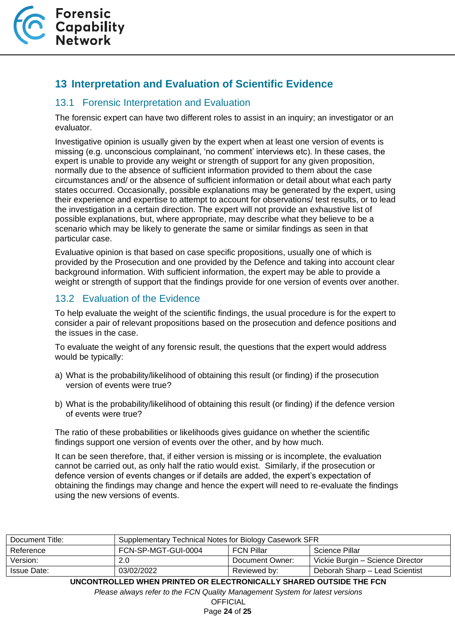## <span id="page-23-0"></span>**13 Interpretation and Evaluation of Scientific Evidence**

#### <span id="page-23-1"></span>13.1 Forensic Interpretation and Evaluation

The forensic expert can have two different roles to assist in an inquiry; an investigator or an evaluator.

Investigative opinion is usually given by the expert when at least one version of events is missing (e.g. unconscious complainant, 'no comment' interviews etc). In these cases, the expert is unable to provide any weight or strength of support for any given proposition, normally due to the absence of sufficient information provided to them about the case circumstances and/ or the absence of sufficient information or detail about what each party states occurred. Occasionally, possible explanations may be generated by the expert, using their experience and expertise to attempt to account for observations/ test results, or to lead the investigation in a certain direction. The expert will not provide an exhaustive list of possible explanations, but, where appropriate, may describe what they believe to be a scenario which may be likely to generate the same or similar findings as seen in that particular case.

Evaluative opinion is that based on case specific propositions, usually one of which is provided by the Prosecution and one provided by the Defence and taking into account clear background information. With sufficient information, the expert may be able to provide a weight or strength of support that the findings provide for one version of events over another.

#### <span id="page-23-2"></span>13.2 Evaluation of the Evidence

To help evaluate the weight of the scientific findings, the usual procedure is for the expert to consider a pair of relevant propositions based on the prosecution and defence positions and the issues in the case.

To evaluate the weight of any forensic result, the questions that the expert would address would be typically:

- a) What is the probability/likelihood of obtaining this result (or finding) if the prosecution version of events were true?
- b) What is the probability/likelihood of obtaining this result (or finding) if the defence version of events were true?

The ratio of these probabilities or likelihoods gives guidance on whether the scientific findings support one version of events over the other, and by how much.

It can be seen therefore, that, if either version is missing or is incomplete, the evaluation cannot be carried out, as only half the ratio would exist. Similarly, if the prosecution or defence version of events changes or if details are added, the expert's expectation of obtaining the findings may change and hence the expert will need to re-evaluate the findings using the new versions of events.

| Document Title:    | Supplementary Technical Notes for Biology Casework SFR |                   |                                  |
|--------------------|--------------------------------------------------------|-------------------|----------------------------------|
| Reference          | FCN-SP-MGT-GUI-0004                                    | <b>FCN Pillar</b> | Science Pillar                   |
| Version:           | 2.0                                                    | Document Owner:   | Vickie Burgin – Science Director |
| <b>Issue Date:</b> | 03/02/2022                                             | Reviewed by:      | Deborah Sharp - Lead Scientist   |

**UNCONTROLLED WHEN PRINTED OR ELECTRONICALLY SHARED OUTSIDE THE FCN**

*Please always refer to the FCN Quality Management System for latest versions*

**OFFICIAL** Page **24** of **25**